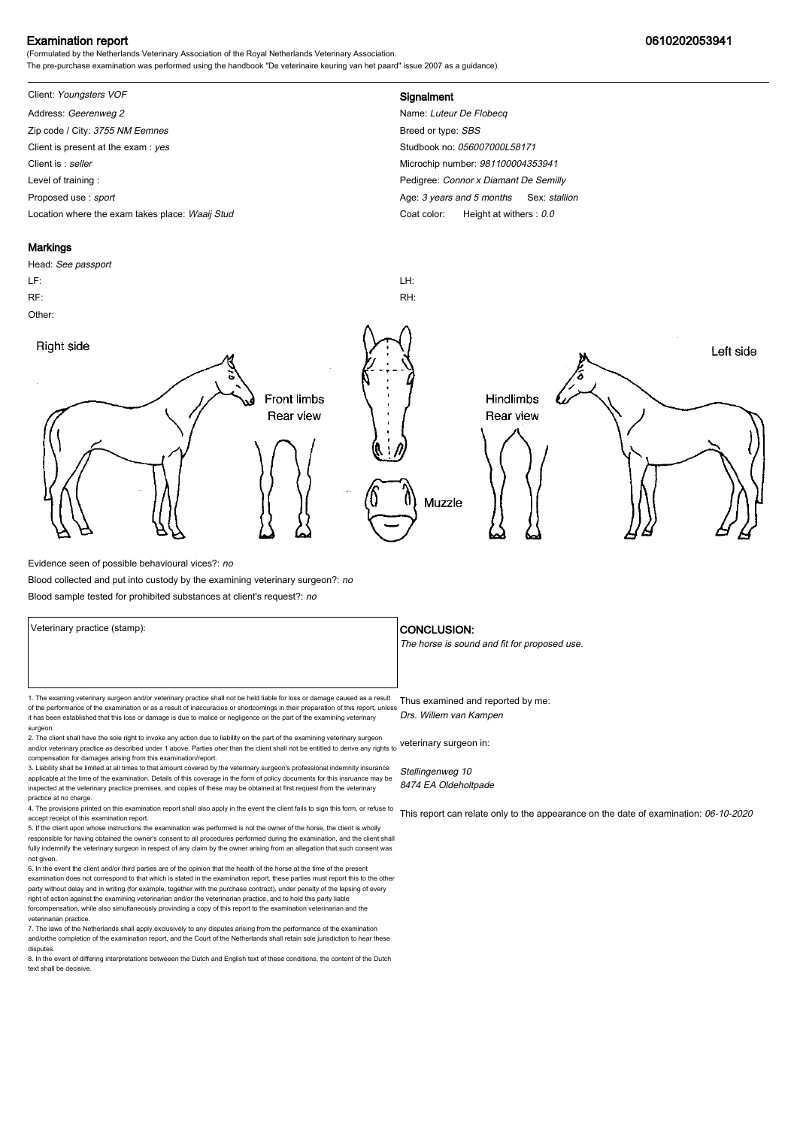## Examination report 0610202053941

(Formulated by the Netherlands Veterinary Association of the Royal Netherlands Veterinary Association. The pre-purchase examination was performed using the handbook "De veterinaire keuring van het paard" issue 2007 as a guidance).

# Client: Youngsters VOF **Signalment**

Address: Geerenweg 2 Name: Luteur De Flobecq Zip code / City: 3755 NM Eemnes and the state of the state and the Same Breed or type: SBS Client is present at the exam : yes Studbook no: 056007000L58171 Client is : seller Microchip number: 981100004353941 Level of training : Pedigree: Connor x Diamant De Semilly Proposed use : sport **Age: 3** years and 5 months Sex: stallion Location where the exam takes place: Waaij Stud Coat Color: Height at withers : 0.0

#### **Markings**

Head: See passport LF: LH: RF: RH: Other: Right side Left side **Front limbs** Hindlimbs Rear view Rear view Muzzle

Evidence seen of possible behavioural vices?: no

Blood collected and put into custody by the examining veterinary surgeon?: no

Blood sample tested for prohibited substances at client's request?: no

1. The examing veterinary surgeon and/or veterinary practice shall not be held liable for loss or damage caused as a result Thus examined and reported by me: of the performance of the examination or as a result of inaccuracies or shortcomings in their preparation of this report, unless it has been established that this loss or damage is due to malice or negligence on the part of the examining veterinary surgeon.

2. The client shall have the sole right to invoke any action due to liability on the part of the examining veterinary surgeon and/or veterinary practice as described under 1 above. Parties oher than the client shall not be entitled to derive any rights to veterinary surgeon in: compensation for damages arising from this examination/report.

3. Liability shall be limited at all times to that amount covered by the veterinary surgeon's professional indemnity insurance applicable at the time of the examination. Details of this coverage in the form of policy documents for this insruance may be inspected at the veterinary practice premises, and copies of these may be obtained at first request from the veterinary practice at no charge.

4. The provisions printed on this examination report shall also apply in the event the client fails to sign this form, or refuse to accept receipt of this examination report.

5. If the client upon whose instructions the examination was performed is not the owner of the horse, the client is wholly responsible for having obtained the owner's consent to all procedures performed during the examination, and the client shall fully indemnify the veterinary surgeon in respect of any claim by the owner arising from an allegation that such consent was not given.

6. In the event the client and/or third parties are of the opinion that the health of the horse at the time of the present examination does not correspond to that which is stated in the examination report, these parties must report this to the other party without delay and in writing (for example, together with the purchase contract), under penalty of the lapsing of every<br>right of action against the examining veterinarian and/or the veterinarian practice, and to hold forcompensation, while also simultaneously provinding a copy of this report to the examination veterinarian and th veterinarian practice.

7. The laws of the Netherlands shall apply exclusively to any disputes arising from the performance of the examination and/orthe completion of the examination report, and the Court of the Netherlands shall retain sole jurisdiction to hear these disputes.

8. In the event of differing interpretations betweeen the Dutch and English text of these conditions, the content of the Dutch text shall be decisive.

#### Veterinary practice (stamp):  $\overline{\phantom{a}}$  CONCLUSION:

The horse is sound and fit for proposed use.

Drs. Willem van Kampen

Stellingenweg 10 8474 EA Oldeholtpade

This report can relate only to the appearance on the date of examination: 06-10-2020